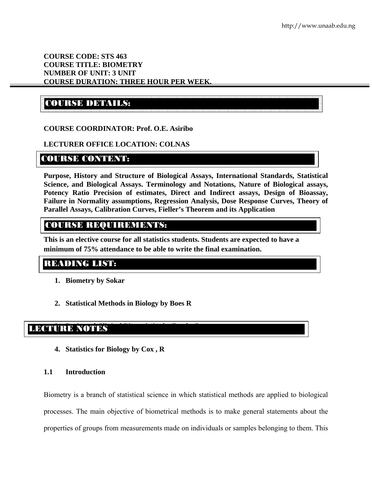### **COURSE CODE: STS 463 COURSE TITLE: BIOMETRY NUMBER OF UNIT: 3 UNIT COURSE DURATION: THREE HOUR PER WEEK.**

# COURSE DETAILS:

### **COURSE COORDINATOR: Prof. O.E. Asiribo**

### **LECTURER OFFICE LOCATION: COLNAS**

## COURSE CONTENTS

**Purpose, History and Structure of Biological Assays, International Standards, Statistical Science, and Biological Assays. Terminology and Notations, Nature of Biological assays, Potency Ratio Precision of estimates, Direct and Indirect assays, Design of Bioassay, Failure in Normality assumptions, Regression Analysis, Dose Response Curves, Theory of Parallel Assays, Calibration Curves, Fieller's Theorem and its Application** 

## COURSE REQUIREMENTS:

**This is an elective course for all statistics students. Students are expected to have a minimum of 75% attendance to be able to write the final examination.** 

## READING LIST:

- **1. Biometry by Sokar**
- **2. Statistical Methods in Biology by Boes R**

# **3. BASIC AND RECTIVE BIOSTATISTICS BY BERTH, CONTROL**

**4. Statistics for Biology by Cox , R** 

### **1.1 Introduction**

Biometry is a branch of statistical science in which statistical methods are applied to biological processes. The main objective of biometrical methods is to make general statements about the properties of groups from measurements made on individuals or samples belonging to them. This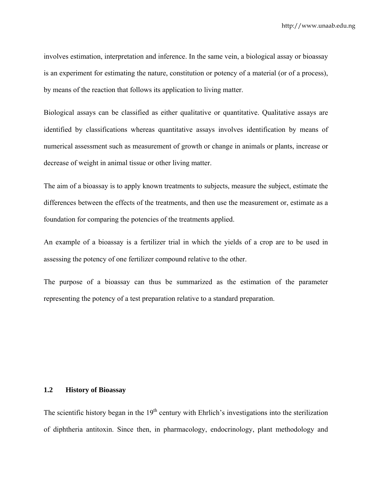involves estimation, interpretation and inference. In the same vein, a biological assay or bioassay is an experiment for estimating the nature, constitution or potency of a material (or of a process), by means of the reaction that follows its application to living matter.

Biological assays can be classified as either qualitative or quantitative. Qualitative assays are identified by classifications whereas quantitative assays involves identification by means of numerical assessment such as measurement of growth or change in animals or plants, increase or decrease of weight in animal tissue or other living matter.

The aim of a bioassay is to apply known treatments to subjects, measure the subject, estimate the differences between the effects of the treatments, and then use the measurement or, estimate as a foundation for comparing the potencies of the treatments applied.

An example of a bioassay is a fertilizer trial in which the yields of a crop are to be used in assessing the potency of one fertilizer compound relative to the other.

The purpose of a bioassay can thus be summarized as the estimation of the parameter representing the potency of a test preparation relative to a standard preparation.

#### **1.2 History of Bioassay**

The scientific history began in the  $19<sup>th</sup>$  century with Ehrlich's investigations into the sterilization of diphtheria antitoxin. Since then, in pharmacology, endocrinology, plant methodology and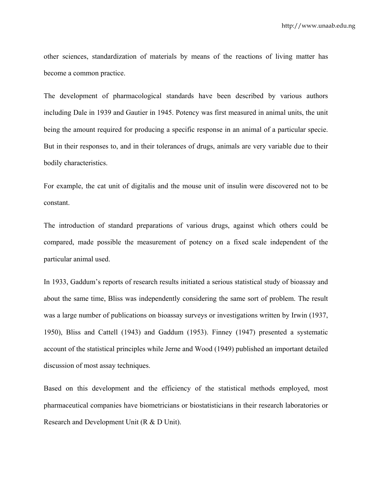other sciences, standardization of materials by means of the reactions of living matter has become a common practice.

The development of pharmacological standards have been described by various authors including Dale in 1939 and Gautier in 1945. Potency was first measured in animal units, the unit being the amount required for producing a specific response in an animal of a particular specie. But in their responses to, and in their tolerances of drugs, animals are very variable due to their bodily characteristics.

For example, the cat unit of digitalis and the mouse unit of insulin were discovered not to be constant.

The introduction of standard preparations of various drugs, against which others could be compared, made possible the measurement of potency on a fixed scale independent of the particular animal used.

In 1933, Gaddum's reports of research results initiated a serious statistical study of bioassay and about the same time, Bliss was independently considering the same sort of problem. The result was a large number of publications on bioassay surveys or investigations written by Irwin (1937, 1950), Bliss and Cattell (1943) and Gaddum (1953). Finney (1947) presented a systematic account of the statistical principles while Jerne and Wood (1949) published an important detailed discussion of most assay techniques.

Based on this development and the efficiency of the statistical methods employed, most pharmaceutical companies have biometricians or biostatisticians in their research laboratories or Research and Development Unit (R & D Unit).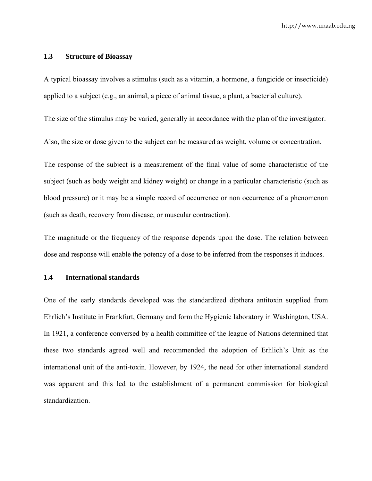#### **1.3 Structure of Bioassay**

A typical bioassay involves a stimulus (such as a vitamin, a hormone, a fungicide or insecticide) applied to a subject (e.g., an animal, a piece of animal tissue, a plant, a bacterial culture).

The size of the stimulus may be varied, generally in accordance with the plan of the investigator.

Also, the size or dose given to the subject can be measured as weight, volume or concentration.

The response of the subject is a measurement of the final value of some characteristic of the subject (such as body weight and kidney weight) or change in a particular characteristic (such as blood pressure) or it may be a simple record of occurrence or non occurrence of a phenomenon (such as death, recovery from disease, or muscular contraction).

The magnitude or the frequency of the response depends upon the dose. The relation between dose and response will enable the potency of a dose to be inferred from the responses it induces.

### **1.4 International standards**

One of the early standards developed was the standardized dipthera antitoxin supplied from Ehrlich's Institute in Frankfurt, Germany and form the Hygienic laboratory in Washington, USA. In 1921, a conference conversed by a health committee of the league of Nations determined that these two standards agreed well and recommended the adoption of Erhlich's Unit as the international unit of the anti-toxin. However, by 1924, the need for other international standard was apparent and this led to the establishment of a permanent commission for biological standardization.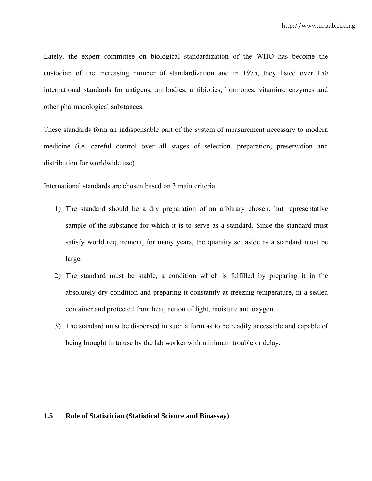Lately, the expert committee on biological standardization of the WHO has become the custodian of the increasing number of standardization and in 1975, they listed over 150 international standards for antigens, antibodies, antibiotics, hormones, vitamins, enzymes and other pharmacological substances.

These standards form an indispensable part of the system of measurement necessary to modern medicine (i.e. careful control over all stages of selection, preparation, preservation and distribution for worldwide use).

International standards are chosen based on 3 main criteria.

- 1) The standard should be a dry preparation of an arbitrary chosen, but representative sample of the substance for which it is to serve as a standard. Since the standard must satisfy world requirement, for many years, the quantity set aside as a standard must be large.
- 2) The standard must be stable, a condition which is fulfilled by preparing it in the absolutely dry condition and preparing it constantly at freezing temperature, in a sealed container and protected from heat, action of light, moisture and oxygen.
- 3) The standard must be dispensed in such a form as to be readily accessible and capable of being brought in to use by the lab worker with minimum trouble or delay.

### **1.5 Role of Statistician (Statistical Science and Bioassay)**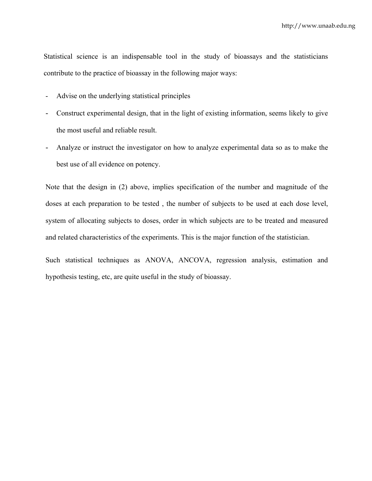Statistical science is an indispensable tool in the study of bioassays and the statisticians contribute to the practice of bioassay in the following major ways:

- Advise on the underlying statistical principles
- Construct experimental design, that in the light of existing information, seems likely to give the most useful and reliable result.
- Analyze or instruct the investigator on how to analyze experimental data so as to make the best use of all evidence on potency.

Note that the design in (2) above, implies specification of the number and magnitude of the doses at each preparation to be tested , the number of subjects to be used at each dose level, system of allocating subjects to doses, order in which subjects are to be treated and measured and related characteristics of the experiments. This is the major function of the statistician.

Such statistical techniques as ANOVA, ANCOVA, regression analysis, estimation and hypothesis testing, etc, are quite useful in the study of bioassay.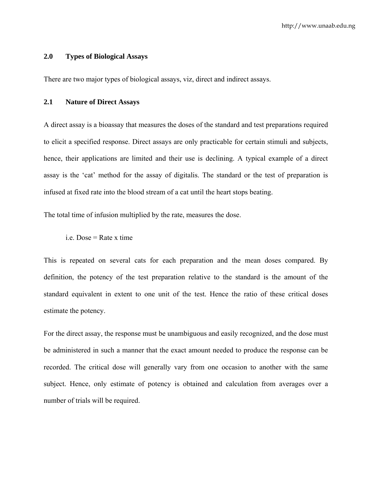#### **2.0 Types of Biological Assays**

There are two major types of biological assays, viz, direct and indirect assays.

### **2.1 Nature of Direct Assays**

A direct assay is a bioassay that measures the doses of the standard and test preparations required to elicit a specified response. Direct assays are only practicable for certain stimuli and subjects, hence, their applications are limited and their use is declining. A typical example of a direct assay is the 'cat' method for the assay of digitalis. The standard or the test of preparation is infused at fixed rate into the blood stream of a cat until the heart stops beating.

The total time of infusion multiplied by the rate, measures the dose.

 $i.e. Does = Rate x time$ 

This is repeated on several cats for each preparation and the mean doses compared. By definition, the potency of the test preparation relative to the standard is the amount of the standard equivalent in extent to one unit of the test. Hence the ratio of these critical doses estimate the potency.

For the direct assay, the response must be unambiguous and easily recognized, and the dose must be administered in such a manner that the exact amount needed to produce the response can be recorded. The critical dose will generally vary from one occasion to another with the same subject. Hence, only estimate of potency is obtained and calculation from averages over a number of trials will be required.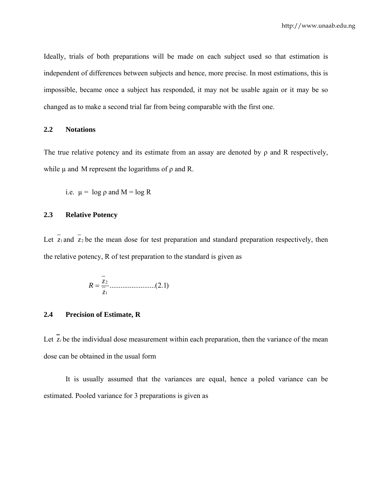Ideally, trials of both preparations will be made on each subject used so that estimation is independent of differences between subjects and hence, more precise. In most estimations, this is impossible, became once a subject has responded, it may not be usable again or it may be so changed as to make a second trial far from being comparable with the first one.

#### **2.2 Notations**

The true relative potency and its estimate from an assay are denoted by  $\rho$  and R respectively, while  $\mu$  and M represent the logarithms of  $\rho$  and R.

i.e.  $\mu = \log \rho$  and  $M = \log R$ 

### **2.3 Relative Potency**

Let  $\overline{z_1}$  and  $\overline{z_2}$  be the mean dose for test preparation and standard preparation respectively, then the relative potency, R of test preparation to the standard is given as

$$
R = \frac{z_2}{z_1} \dots (2.1)
$$

#### **2.4 Precision of Estimate, R**

Let  $\overline{z_i}$  be the individual dose measurement within each preparation, then the variance of the mean dose can be obtained in the usual form

 It is usually assumed that the variances are equal, hence a poled variance can be estimated. Pooled variance for 3 preparations is given as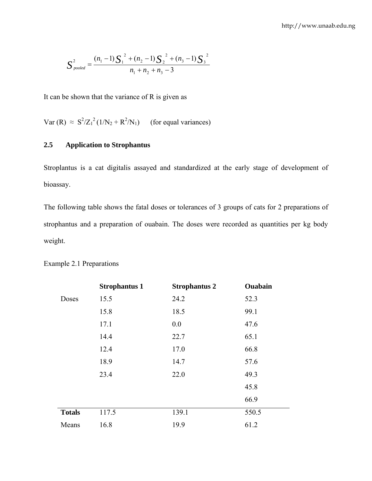$$
S_{pooled}^{2} = \frac{(n_1 - 1)S_1^{2} + (n_2 - 1)S_2^{2} + (n_3 - 1)S_3^{2}}{n_1 + n_2 + n_3 - 3}
$$

It can be shown that the variance of R is given as

Var  $(R) \approx S^2/Z_1^2 (1/N_2 + R^2/N_1)$  (for equal variances)

### **2.5 Application to Strophantus**

Stroplantus is a cat digitalis assayed and standardized at the early stage of development of bioassay.

The following table shows the fatal doses or tolerances of 3 groups of cats for 2 preparations of strophantus and a preparation of ouabain. The doses were recorded as quantities per kg body weight.

|               | <b>Strophantus 1</b> | <b>Strophantus 2</b> | Ouabain |
|---------------|----------------------|----------------------|---------|
| Doses         | 15.5                 | 24.2                 | 52.3    |
|               | 15.8                 | 18.5                 | 99.1    |
|               | 17.1                 | 0.0                  | 47.6    |
|               | 14.4                 | 22.7                 | 65.1    |
|               | 12.4                 | 17.0                 | 66.8    |
|               | 18.9                 | 14.7                 | 57.6    |
|               | 23.4                 | 22.0                 | 49.3    |
|               |                      |                      | 45.8    |
|               |                      |                      | 66.9    |
| <b>Totals</b> | 117.5                | 139.1                | 550.5   |
| Means         | 16.8                 | 19.9                 | 61.2    |

### Example 2.1 Preparations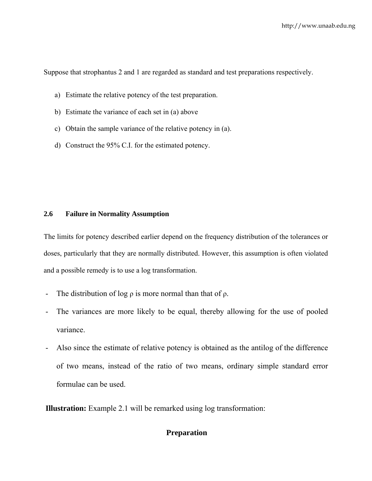Suppose that strophantus 2 and 1 are regarded as standard and test preparations respectively.

- a) Estimate the relative potency of the test preparation.
- b) Estimate the variance of each set in (a) above
- c) Obtain the sample variance of the relative potency in (a).
- d) Construct the 95% C.I. for the estimated potency.

### **2.6 Failure in Normality Assumption**

The limits for potency described earlier depend on the frequency distribution of the tolerances or doses, particularly that they are normally distributed. However, this assumption is often violated and a possible remedy is to use a log transformation.

- The distribution of log  $\rho$  is more normal than that of  $\rho$ .
- The variances are more likely to be equal, thereby allowing for the use of pooled variance.
- Also since the estimate of relative potency is obtained as the antilog of the difference of two means, instead of the ratio of two means, ordinary simple standard error formulae can be used.

**Illustration:** Example 2.1 will be remarked using log transformation:

### **Preparation**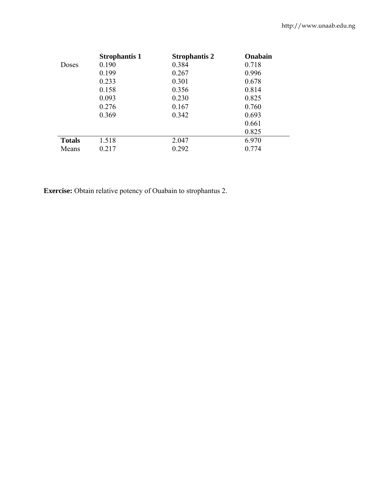|               | <b>Strophantis 1</b> | <b>Strophantis 2</b> | Onabain |
|---------------|----------------------|----------------------|---------|
| Doses         | 0.190                | 0.384                | 0.718   |
|               | 0.199                | 0.267                | 0.996   |
|               | 0.233                | 0.301                | 0.678   |
|               | 0.158                | 0.356                | 0.814   |
|               | 0.093                | 0.230                | 0.825   |
|               | 0.276                | 0.167                | 0.760   |
|               | 0.369                | 0.342                | 0.693   |
|               |                      |                      | 0.661   |
|               |                      |                      | 0.825   |
| <b>Totals</b> | 1.518                | 2.047                | 6.970   |
| Means         | 0.217                | 0.292                | 0.774   |

**Exercise:** Obtain relative potency of Ouabain to strophantus 2.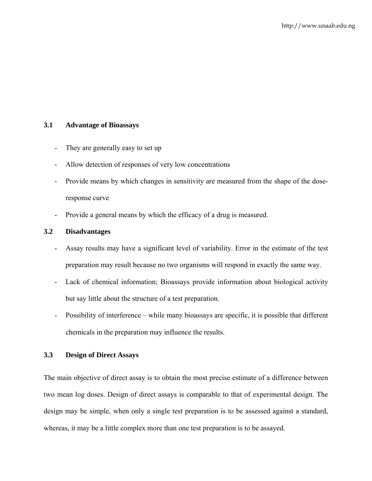### **3.1 Advantage of Bioassays**

- They are generally easy to set up
- Allow detection of responses of very low concentrations
- Provide means by which changes in sensitivity are measured from the shape of the doseresponse curve
- Provide a general means by which the efficacy of a drug is measured.

### **3.2 Disadvantages**

- Assay results may have a significant level of variability. Error in the estimate of the test preparation may result because no two organisms will respond in exactly the same way.
- Lack of chemical information; Bioassays provide information about biological activity but say little about the structure of a test preparation.
- Possibility of interference while many bioassays are specific, it is possible that different chemicals in the preparation may influence the results.

### **3.3 Design of Direct Assays**

The main objective of direct assay is to obtain the most precise estimate of a difference between two mean log doses. Design of direct assays is comparable to that of experimental design. The design may be simple, when only a single test preparation is to be assessed against a standard, whereas, it may be a little complex more than one test preparation is to be assayed.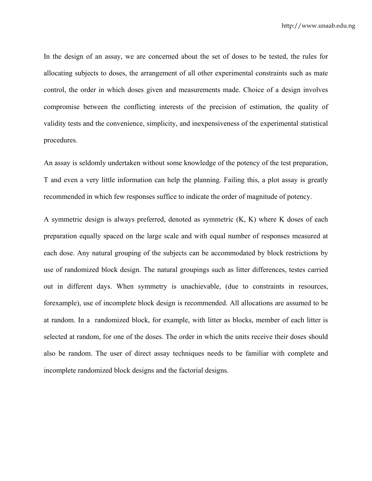In the design of an assay, we are concerned about the set of doses to be tested, the rules for allocating subjects to doses, the arrangement of all other experimental constraints such as mate control, the order in which doses given and measurements made. Choice of a design involves compromise between the conflicting interests of the precision of estimation, the quality of validity tests and the convenience, simplicity, and inexpensiveness of the experimental statistical procedures.

An assay is seldomly undertaken without some knowledge of the potency of the test preparation, T and even a very little information can help the planning. Failing this, a plot assay is greatly recommended in which few responses suffice to indicate the order of magnitude of potency.

A symmetric design is always preferred, denoted as symmetric (K, K) where K doses of each preparation equally spaced on the large scale and with equal number of responses measured at each dose. Any natural grouping of the subjects can be accommodated by block restrictions by use of randomized block design. The natural groupings such as litter differences, testes carried out in different days. When symmetry is unachievable, (due to constraints in resources, forexample), use of incomplete block design is recommended. All allocations are assumed to be at random. In a randomized block, for example, with litter as blocks, member of each litter is selected at random, for one of the doses. The order in which the units receive their doses should also be random. The user of direct assay techniques needs to be familiar with complete and incomplete randomized block designs and the factorial designs.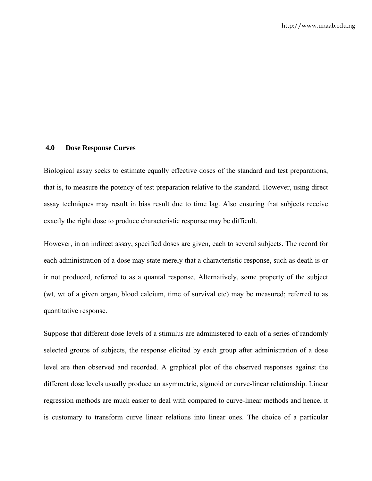#### **4.0 Dose Response Curves**

Biological assay seeks to estimate equally effective doses of the standard and test preparations, that is, to measure the potency of test preparation relative to the standard. However, using direct assay techniques may result in bias result due to time lag. Also ensuring that subjects receive exactly the right dose to produce characteristic response may be difficult.

However, in an indirect assay, specified doses are given, each to several subjects. The record for each administration of a dose may state merely that a characteristic response, such as death is or ir not produced, referred to as a quantal response. Alternatively, some property of the subject (wt, wt of a given organ, blood calcium, time of survival etc) may be measured; referred to as quantitative response.

Suppose that different dose levels of a stimulus are administered to each of a series of randomly selected groups of subjects, the response elicited by each group after administration of a dose level are then observed and recorded. A graphical plot of the observed responses against the different dose levels usually produce an asymmetric, sigmoid or curve-linear relationship. Linear regression methods are much easier to deal with compared to curve-linear methods and hence, it is customary to transform curve linear relations into linear ones. The choice of a particular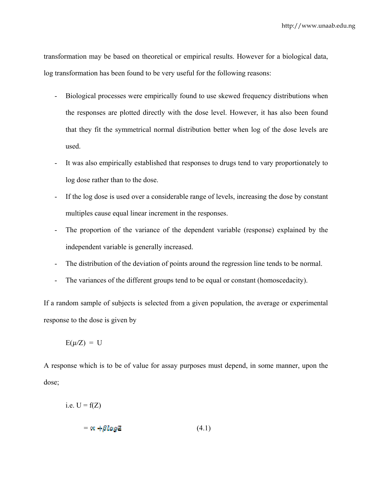transformation may be based on theoretical or empirical results. However for a biological data, log transformation has been found to be very useful for the following reasons:

- Biological processes were empirically found to use skewed frequency distributions when the responses are plotted directly with the dose level. However, it has also been found that they fit the symmetrical normal distribution better when log of the dose levels are used.
- It was also empirically established that responses to drugs tend to vary proportionately to log dose rather than to the dose.
- If the log dose is used over a considerable range of levels, increasing the dose by constant multiples cause equal linear increment in the responses.
- The proportion of the variance of the dependent variable (response) explained by the independent variable is generally increased.
- The distribution of the deviation of points around the regression line tends to be normal.
- The variances of the different groups tend to be equal or constant (homoscedacity).

If a random sample of subjects is selected from a given population, the average or experimental response to the dose is given by

 $E(\mu/Z) = U$ 

A response which is to be of value for assay purposes must depend, in some manner, upon the dose;

i.e.  $U = f(Z)$  $= \alpha + \beta \log 2$  (4.1)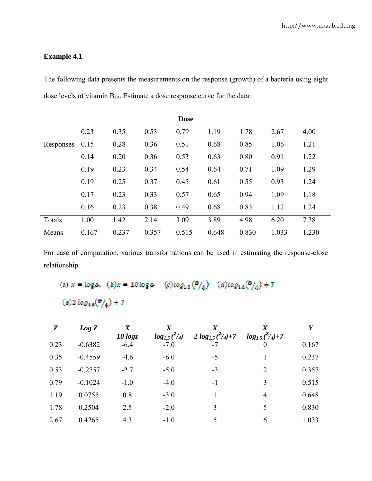### **Example 4.1**

The following data presents the measurements on the response (growth) of a bacteria using eight dose levels of vitamin B12. Estimate a dose response curve for the data:

|           | <b>Dose</b> |       |       |       |       |       |       |       |
|-----------|-------------|-------|-------|-------|-------|-------|-------|-------|
|           | 0.23        | 0.35  | 0.53  | 0.79  | 1.19  | 1.78  | 2.67  | 4.00  |
| Responses | 0.15        | 0.28  | 0.36  | 0.51  | 0.68  | 0.85  | 1.06  | 1.21  |
|           | 0.14        | 0.20  | 0.36  | 0.53  | 0.63  | 0.80  | 0.91  | 1.22  |
|           | 0.19        | 0.23  | 0.34  | 0.54  | 0.64  | 0.71  | 1.09  | 1.29  |
|           | 0.19        | 0.25  | 0.37  | 0.45  | 0.61  | 0.55  | 0.93  | 1.24  |
|           | 0.17        | 0.23  | 0.33  | 0.57  | 0.65  | 0.94  | 1.09  | 1.18  |
|           | 0.16        | 0.23  | 0.38  | 0.49  | 0.68  | 0.83  | 1.12  | 1.24  |
| Totals    | 1.00        | 1.42  | 2.14  | 3.09  | 3.89  | 4.98  | 6.20  | 7.38  |
| Means     | 0.167       | 0.237 | 0.357 | 0.515 | 0.648 | 0.830 | 1.033 | 1.230 |

For ease of computation, various transformations can be used in estimating the response-close relationship.

(a)  $x = \log e$ . (b) $x = 10\log e$  (c)log<sub>18</sub>( $\frac{5}{4}$ ) (d)log<sub>18</sub>( $\frac{5}{4}$ ) + 7

```
(e)2 log<sub>1.5</sub>(\frac{e}{4}) + 7
```

| $\boldsymbol{Z}$ | $Log\ Z$  | $\boldsymbol{X}$<br>10 $log$ | $log_{1.5}$ <sup>2</sup> / <sub>4</sub> ) | 2 $log_{1.5}$ $\binom{z}{4}$ +7 | $log_{1.5}(\frac{2}{4})+7$ | Y     |
|------------------|-----------|------------------------------|-------------------------------------------|---------------------------------|----------------------------|-------|
| 0.23             | $-0.6382$ | $-6.4$                       | $-7.0$                                    | $-7$                            |                            | 0.167 |
| 0.35             | $-0.4559$ | $-4.6$                       | $-6.0$                                    | $-5$                            |                            | 0.237 |
| 0.53             | $-0.2757$ | $-2.7$                       | $-5.0$                                    | $-3$                            | 2                          | 0.357 |
| 0.79             | $-0.1024$ | $-1.0$                       | $-4.0$                                    | $-1$                            | 3                          | 0.515 |
| 1.19             | 0.0755    | 0.8                          | $-3.0$                                    |                                 | 4                          | 0.648 |
| 1.78             | 0.2504    | 2.5                          | $-2.0$                                    | 3                               | 5                          | 0.830 |
| 2.67             | 0.4265    | 4.3                          | $-1.0$                                    | 5.                              | 6                          | 1.033 |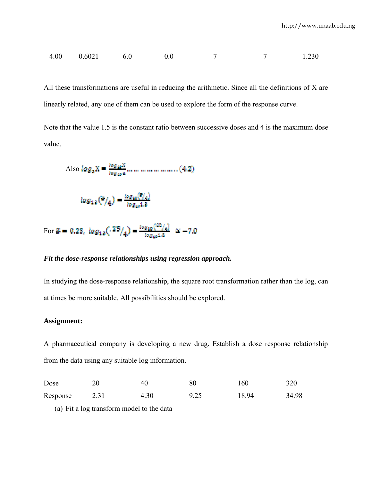$$
4.00 \t 0.6021 \t 6.0 \t 0.0 \t 7 \t 7 \t 1.230
$$

All these transformations are useful in reducing the arithmetic. Since all the definitions of X are linearly related, any one of them can be used to explore the form of the response curve.

Note that the value 1.5 is the constant ratio between successive doses and 4 is the maximum dose value.

Also 
$$
\log_a X = \frac{\log_{10} X}{\log_{10} a} \dots \dots \dots \dots \dots \dots (4.2)
$$

$$
\log_{13} \left( \frac{a}{4} \right) = \frac{\log_{10} \left( \frac{a}{4} \right)}{\log_{10} 1.8}
$$

For 
$$
\mathbb{Z} = 0.23
$$
,  $log_{1.8}(.23/4) = \frac{log_{10}(23/4)}{log_{10}1.8} \approx -7.0$ 

### *Fit the dose-response relationships using regression approach.*

In studying the dose-response relationship, the square root transformation rather than the log, can at times be more suitable. All possibilities should be explored.

#### **Assignment:**

A pharmaceutical company is developing a new drug. Establish a dose response relationship from the data using any suitable log information.

| Dose     |      | 40   |      | 160   | 320   |
|----------|------|------|------|-------|-------|
| Response | 2.31 | 4.30 | 9.25 | 18.94 | 34.98 |

(a) Fit a log transform model to the data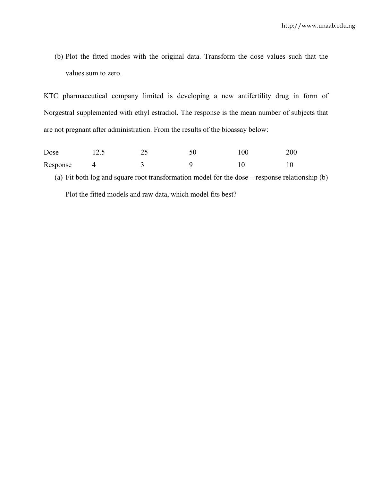(b) Plot the fitted modes with the original data. Transform the dose values such that the values sum to zero.

KTC pharmaceutical company limited is developing a new antifertility drug in form of Norgestral supplemented with ethyl estradiol. The response is the mean number of subjects that are not pregnant after administration. From the results of the bioassay below:

Dose 12.5 25 50 100 200 Response 4 3 9 10 10 (a) Fit both log and square root transformation model for the dose – response relationship (b) Plot the fitted models and raw data, which model fits best?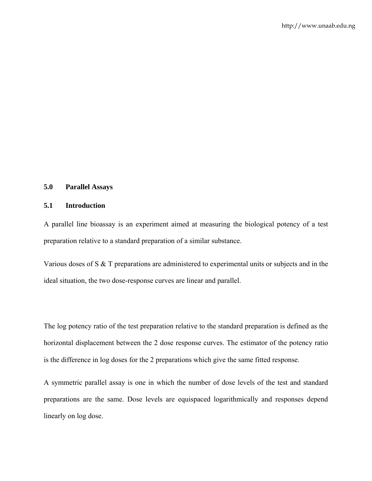### **5.0 Parallel Assays**

#### **5.1 Introduction**

A parallel line bioassay is an experiment aimed at measuring the biological potency of a test preparation relative to a standard preparation of a similar substance.

Various doses of S & T preparations are administered to experimental units or subjects and in the ideal situation, the two dose-response curves are linear and parallel.

The log potency ratio of the test preparation relative to the standard preparation is defined as the horizontal displacement between the 2 dose response curves. The estimator of the potency ratio is the difference in log doses for the 2 preparations which give the same fitted response.

A symmetric parallel assay is one in which the number of dose levels of the test and standard preparations are the same. Dose levels are equispaced logarithmically and responses depend linearly on log dose.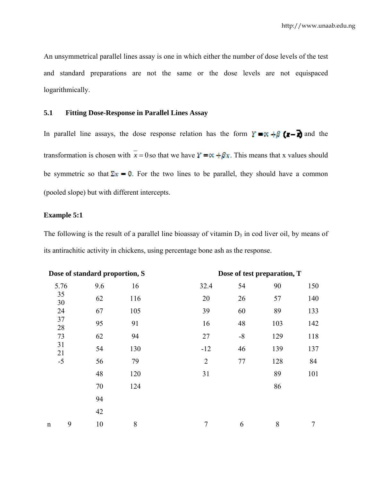An unsymmetrical parallel lines assay is one in which either the number of dose levels of the test and standard preparations are not the same or the dose levels are not equispaced logarithmically.

### **5.1 Fitting Dose-Response in Parallel Lines Assay**

In parallel line assays, the dose response relation has the form  $\mathbf{Y} = \mathbf{x} + \mathbf{S} \cdot (\mathbf{x} - \mathbf{S})$  and the transformation is chosen with  $\bar{x} = 0$  so that we have  $\bar{x} = \alpha + \beta x$ . This means that x values should be symmetric so that  $\Sigma x = 0$ . For the two lines to be parallel, they should have a common (pooled slope) but with different intercepts.

#### **Example 5:1**

The following is the result of a parallel line bioassay of vitamin  $D_3$  in cod liver oil, by means of its antirachitic activity in chickens, using percentage bone ash as the response.

| Dose of standard proportion, S |     |                | Dose of test preparation, T |     |     |  |  |
|--------------------------------|-----|----------------|-----------------------------|-----|-----|--|--|
| 9.6                            | 16  | 32.4           | 54                          | 90  | 150 |  |  |
| 62                             | 116 | 20             | 26                          | 57  | 140 |  |  |
| 67                             | 105 | 39             | 60                          | 89  | 133 |  |  |
| 95                             | 91  | 16             | 48                          | 103 | 142 |  |  |
| 62                             | 94  | 27             | $-8$                        | 129 | 118 |  |  |
| 54                             | 130 | $-12$          | 46                          | 139 | 137 |  |  |
| 56                             | 79  | $\overline{2}$ | 77                          | 128 | 84  |  |  |
| 48                             | 120 | 31             |                             | 89  | 101 |  |  |
| 70                             | 124 |                |                             | 86  |     |  |  |
| 94                             |     |                |                             |     |     |  |  |
| 42                             |     |                |                             |     |     |  |  |
| 9<br>10                        | 8   | 7              | 6                           | 8   | 7   |  |  |
|                                |     |                |                             |     |     |  |  |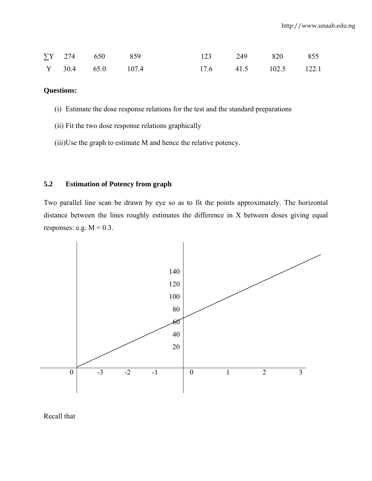|  | $\Sigma$ Y 274 650 859 |                           | 123 249 820 855       |  |  |
|--|------------------------|---------------------------|-----------------------|--|--|
|  |                        | $Y = 30.4$ $65.0$ $107.4$ | 17.6 41.5 102.5 122.1 |  |  |

### **Questions:**

- (i) Estimate the dose response relations for the test and the standard preparations
- (ii) Fit the two dose response relations graphically
- (iii)Use the graph to estimate M and hence the relative potency.

### **5.2 Estimation of Potency from graph**

Two parallel line scan be drawn by eye so as to fit the points approximately. The horizontal distance between the lines roughly estimates the difference in X between doses giving equal responses: e.g.  $M = 0.3$ .



Recall that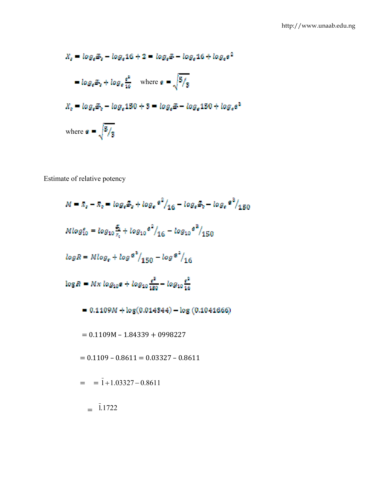$$
X_s = \log_e \mathbb{E}_s - \log_e 16 + 2 = \log_e \mathbb{E} - \log_e 16 + \log_e e^2
$$
  
=  $\log_e \mathbb{E}_s + \log_e \frac{e^2}{16}$  where  $e = \sqrt{\frac{5}{3}}$   

$$
X_t = \log_e \mathbb{E}_t - \log_e 150 + 3 = \log_e \mathbb{E} - \log_e 150 + \log_e e^2
$$
  
where  $e = \sqrt{\frac{5}{3}}$ 

Estimate of relative potency

$$
M = R_{e} - R_{e} = \log_{e}A_{e} + \log_{e} e^{2}/_{16} - \log_{e}A_{e} - \log_{e} e^{2}/_{150}
$$
  
\n
$$
M \log_{10}^{e} = \log_{10} \frac{5}{z_{e}} + \log_{10} e^{2}/_{16} - \log_{10} e^{2}/_{150}
$$
  
\n
$$
\log R = M \log_{e} + \log e^{2}/_{150} - \log e^{2}/_{16}
$$
  
\n
$$
\log R = Mx \log_{10} e + \log_{10} \frac{e^{2}}{180} - \log_{10} \frac{e^{2}}{16}
$$
  
\n= 0.1109M + \log(0.014344) - \log(0.1041666)  
\n= 0.1109M - 1.84339 + 0998227  
\n= 0.1109 - 0.8611 = 0.03327 - 0.8611  
\n= 1.1722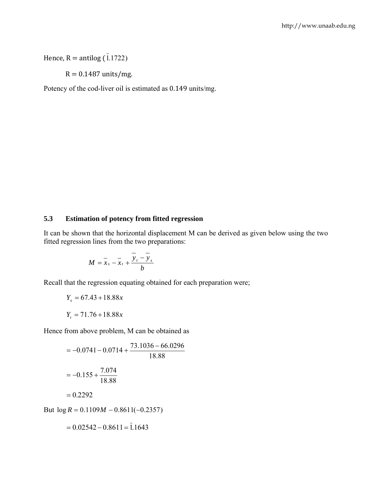# Hence,  $R = antilog(\overline{1.1722})$

 $R = 0.1487$  units/mg.

Potency of the cod-liver oil is estimated as 0.149 units/mg.

### **5.3 Estimation of potency from fitted regression**

It can be shown that the horizontal displacement M can be derived as given below using the two fitted regression lines from the two preparations:

$$
M=\overline{x}_s-\overline{x}_t+\overline{\frac{y_t-\overline{y}_s}{b}}
$$

Recall that the regression equating obtained for each preparation were;

$$
Y_s = 67.43 + 18.88x
$$

$$
Y_t = 71.76 + 18.88x
$$

Hence from above problem, M can be obtained as

$$
= -0.0741 - 0.0714 + \frac{73.1036 - 66.0296}{18.88}
$$

$$
= -0.155 + \frac{7.074}{18.88}
$$

$$
= 0.2292
$$
But log *R* = 0.1109*M* – 0.8611(-0.2357)

 $= 0.02542 - 0.8611 = 1.1643$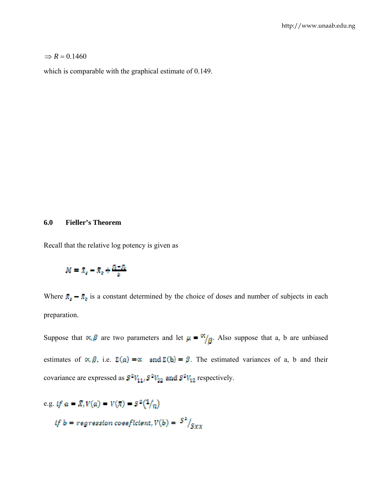#### $\Rightarrow$  *R* = 0.1460

which is comparable with the graphical estimate of 0.149.

### **6.0 Fieller's Theorem**

Recall that the relative log potency is given as

$$
M = x_s - x_s + \frac{x_1 - x_s}{h}
$$

Where  $\bar{x}_s - \bar{x}_s$  is a constant determined by the choice of doses and number of subjects in each preparation.

Suppose that  $\alpha$ ,  $\beta$  are two parameters and let  $\mu = \alpha / \beta$ . Also suppose that a, b are unbiased estimates of  $\alpha, \beta$ , i.e.  $\Sigma(\alpha) = \alpha$  and  $\Sigma(b) = \beta$ . The estimated variances of a, b and their covariance are expressed as  $\mathbb{S}^2 V_{11} \mathbb{S}^2 V_{22}$  and  $\mathbb{S}^2 V_{12}$  respectively.

e.g. if 
$$
a = \bar{X}_t V(a) = V(\bar{x}) = S^2(1/n)
$$
  
if  $b = \text{regression coseficient}, V(b) = \frac{S^2}{S_{XX}}$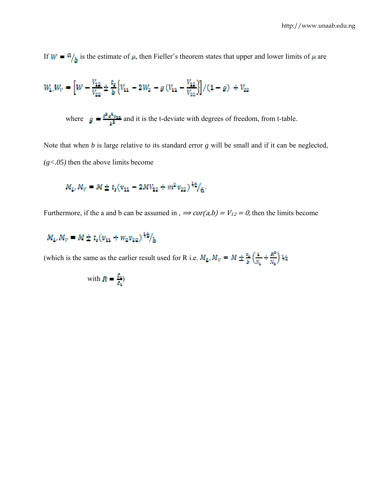If  $W = \frac{a}{b}$  is the estimate of  $\mu$ , then Fieller's theorem states that upper and lower limits of  $\mu$  are

$$
W_{k_1}W_{V} = \left[W - \frac{V_{12}}{V_{22}} \pm \frac{t_s}{b} \left\{V_{11} - 2W_2 - g\left(V_{11} - \frac{V_{12}}{V_{22}}\right)\right\}/(1 - g) + V_{22}\right]
$$

where  $g = \frac{t^2 s^2 v_{xx}}{b^2}$  and it is the t-deviate with degrees of freedom, from t-table.

Note that when *b* is large relative to its standard error *g* will be small and if it can be neglected, *(g<.05)* then the above limits become

$$
M_{1i} M_V = M \pm t_s (v_{11} - 2MV_{12} + m^2 v_{22})^{1/2}/6
$$

Furthermore, if the a and b can be assumed in ,  $\Rightarrow cor(a,b) = V_{12} = 0$ , then the limits become

$$
M_{L}M_{V} = M \pm t_s (v_{11} + w_2 v_{22})^{1/2}/h
$$

(which is the same as the earlier result used for R i.e.  $M_{\Delta t} M_V = M \pm \frac{E_8}{\delta} \left( \frac{1}{N_2} + \frac{R^2}{N_3} \right) \frac{1}{2}$ 

with 
$$
R = \frac{R_0}{R_0}
$$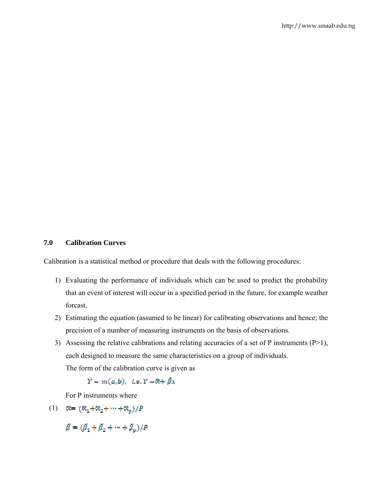#### **7.0 Calibration Curves**

Calibration is a statistical method or procedure that deals with the following procedures:

- 1) Evaluating the performance of individuals which can be used to predict the probability that an event of interest will occur in a specified period in the future, for example weather forcast.
- 2) Estimating the equation (assumed to be linear) for calibrating observations and hence; the precision of a number of measuring instruments on the basis of observations.
- 3) Assessing the relative calibrations and relating accuracies of a set of P instruments  $(P>1)$ , each designed to measure the same characteristics on a group of individuals. The form of the calibration curve is given as

 $Y - m(a, b)$ , i.e.  $Y - \mathcal{R} + \beta x$ 

For P instruments where

(1)  $\mathfrak{R} = (\mathcal{R}_1 + \mathcal{R}_2 + \cdots + \mathcal{R}_n)/P$ 

 $\hat{\beta} = (\hat{\beta}_1 + \hat{\beta}_2 + \cdots + \hat{\beta}_n)/P$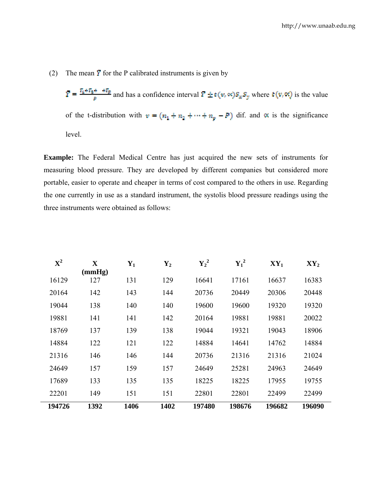(2) The mean  $\overline{Y}$  for the P calibrated instruments is given by

 $\overline{Y} = \frac{r_1 + r_2 + r_3}{p}$  and has a confidence interval  $\overline{Y} \pm t(v, \infty) S_n S_y$  where  $t(v, \infty)$  is the value of the t-distribution with  $v = (n_1 + n_2 + \cdots + n_p - P)$  dif. and  $\alpha$  is the significance level.

**Example:** The Federal Medical Centre has just acquired the new sets of instruments for measuring blood pressure. They are developed by different companies but considered more portable, easier to operate and cheaper in terms of cost compared to the others in use. Regarding the one currently in use as a standard instrument, the systolis blood pressure readings using the three instruments were obtained as follows:

| $\mathbf{X}^2$ | $\mathbf X$ | $\mathbf{Y}_1$ | $\mathbf{Y}_2$ | ${Y_2}^2$ | ${Y_1}^2$ | $XY_1$ | $XY_2$ |
|----------------|-------------|----------------|----------------|-----------|-----------|--------|--------|
|                | (mmHg)      |                |                |           |           |        |        |
| 16129          | 127         | 131            | 129            | 16641     | 17161     | 16637  | 16383  |
| 20164          | 142         | 143            | 144            | 20736     | 20449     | 20306  | 20448  |
| 19044          | 138         | 140            | 140            | 19600     | 19600     | 19320  | 19320  |
| 19881          | 141         | 141            | 142            | 20164     | 19881     | 19881  | 20022  |
| 18769          | 137         | 139            | 138            | 19044     | 19321     | 19043  | 18906  |
| 14884          | 122         | 121            | 122            | 14884     | 14641     | 14762  | 14884  |
| 21316          | 146         | 146            | 144            | 20736     | 21316     | 21316  | 21024  |
| 24649          | 157         | 159            | 157            | 24649     | 25281     | 24963  | 24649  |
| 17689          | 133         | 135            | 135            | 18225     | 18225     | 17955  | 19755  |
| 22201          | 149         | 151            | 151            | 22801     | 22801     | 22499  | 22499  |
| 194726         | 1392        | 1406           | 1402           | 197480    | 198676    | 196682 | 196090 |